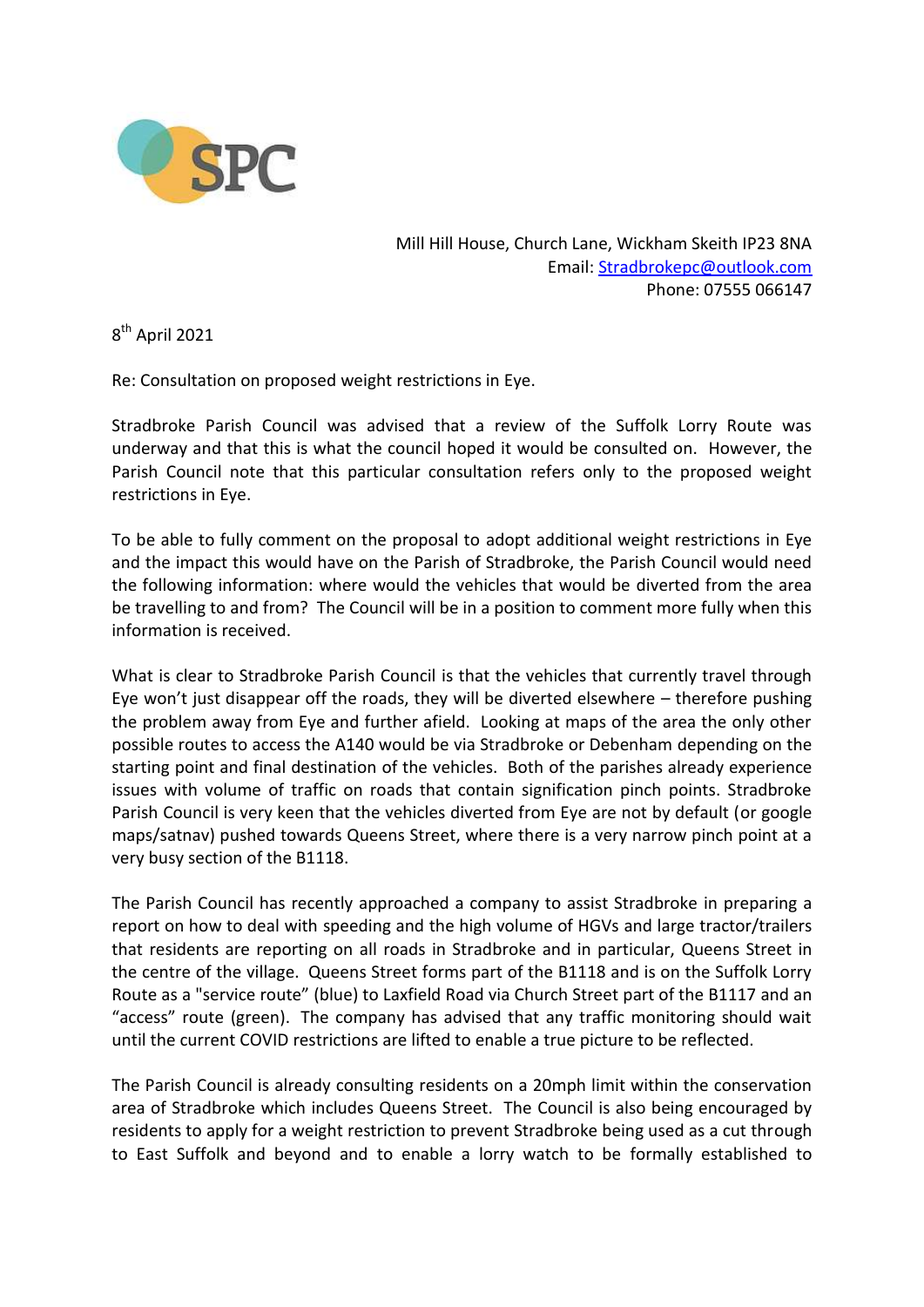

Mill Hill House, Church Lane, Wickham Skeith IP23 8NA Email: [Stradbrokepc@outlook.com](mailto:Stradbrokepc@outlook.com) Phone: 07555 066147

8<sup>th</sup> April 2021

Re: Consultation on proposed weight restrictions in Eye.

Stradbroke Parish Council was advised that a review of the Suffolk Lorry Route was underway and that this is what the council hoped it would be consulted on. However, the Parish Council note that this particular consultation refers only to the proposed weight restrictions in Eye.

To be able to fully comment on the proposal to adopt additional weight restrictions in Eye and the impact this would have on the Parish of Stradbroke, the Parish Council would need the following information: where would the vehicles that would be diverted from the area be travelling to and from? The Council will be in a position to comment more fully when this information is received.

What is clear to Stradbroke Parish Council is that the vehicles that currently travel through Eye won't just disappear off the roads, they will be diverted elsewhere – therefore pushing the problem away from Eye and further afield. Looking at maps of the area the only other possible routes to access the A140 would be via Stradbroke or Debenham depending on the starting point and final destination of the vehicles. Both of the parishes already experience issues with volume of traffic on roads that contain signification pinch points. Stradbroke Parish Council is very keen that the vehicles diverted from Eye are not by default (or google maps/satnav) pushed towards Queens Street, where there is a very narrow pinch point at a very busy section of the B1118.

The Parish Council has recently approached a company to assist Stradbroke in preparing a report on how to deal with speeding and the high volume of HGVs and large tractor/trailers that residents are reporting on all roads in Stradbroke and in particular, Queens Street in the centre of the village. Queens Street forms part of the B1118 and is on the Suffolk Lorry Route as a "service route" (blue) to Laxfield Road via Church Street part of the B1117 and an "access" route (green). The company has advised that any traffic monitoring should wait until the current COVID restrictions are lifted to enable a true picture to be reflected.

The Parish Council is already consulting residents on a 20mph limit within the conservation area of Stradbroke which includes Queens Street. The Council is also being encouraged by residents to apply for a weight restriction to prevent Stradbroke being used as a cut through to East Suffolk and beyond and to enable a lorry watch to be formally established to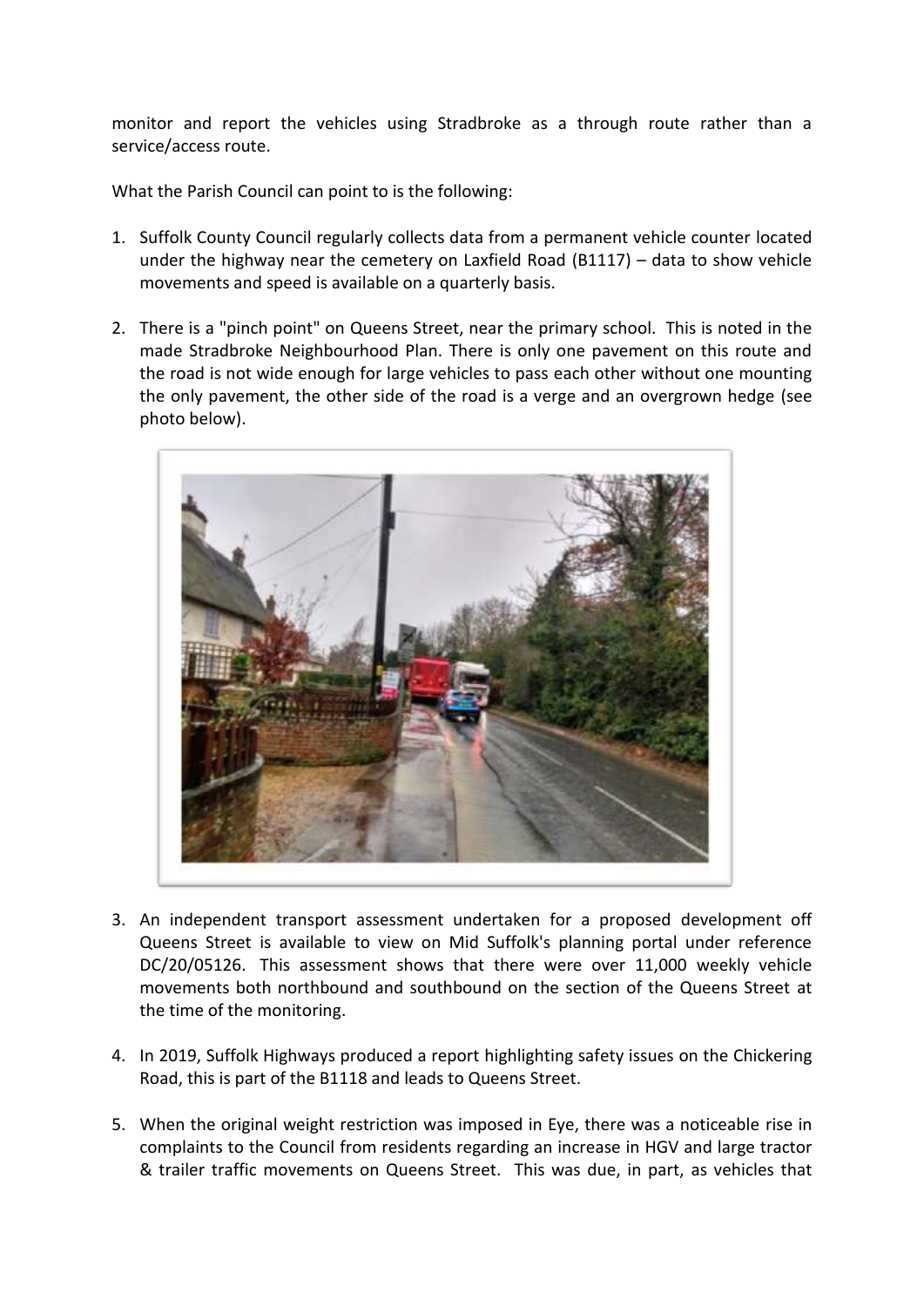monitor and report the vehicles using Stradbroke as a through route rather than a service/access route.

What the Parish Council can point to is the following:

- 1. Suffolk County Council regularly collects data from a permanent vehicle counter located under the highway near the cemetery on Laxfield Road (B1117) – data to show vehicle movements and speed is available on a quarterly basis.
- 2. There is a "pinch point" on Queens Street, near the primary school. This is noted in the made Stradbroke Neighbourhood Plan. There is only one pavement on this route and the road is not wide enough for large vehicles to pass each other without one mounting the only pavement, the other side of the road is a verge and an overgrown hedge (see photo below).



- 3. An independent transport assessment undertaken for a proposed development off Queens Street is available to view on Mid Suffolk's planning portal under reference DC/20/05126. This assessment shows that there were over 11,000 weekly vehicle movements both northbound and southbound on the section of the Queens Street at the time of the monitoring.
- 4. In 2019, Suffolk Highways produced a report highlighting safety issues on the Chickering Road, this is part of the B1118 and leads to Queens Street.
- 5. When the original weight restriction was imposed in Eye, there was a noticeable rise in complaints to the Council from residents regarding an increase in HGV and large tractor & trailer traffic movements on Queens Street. This was due, in part, as vehicles that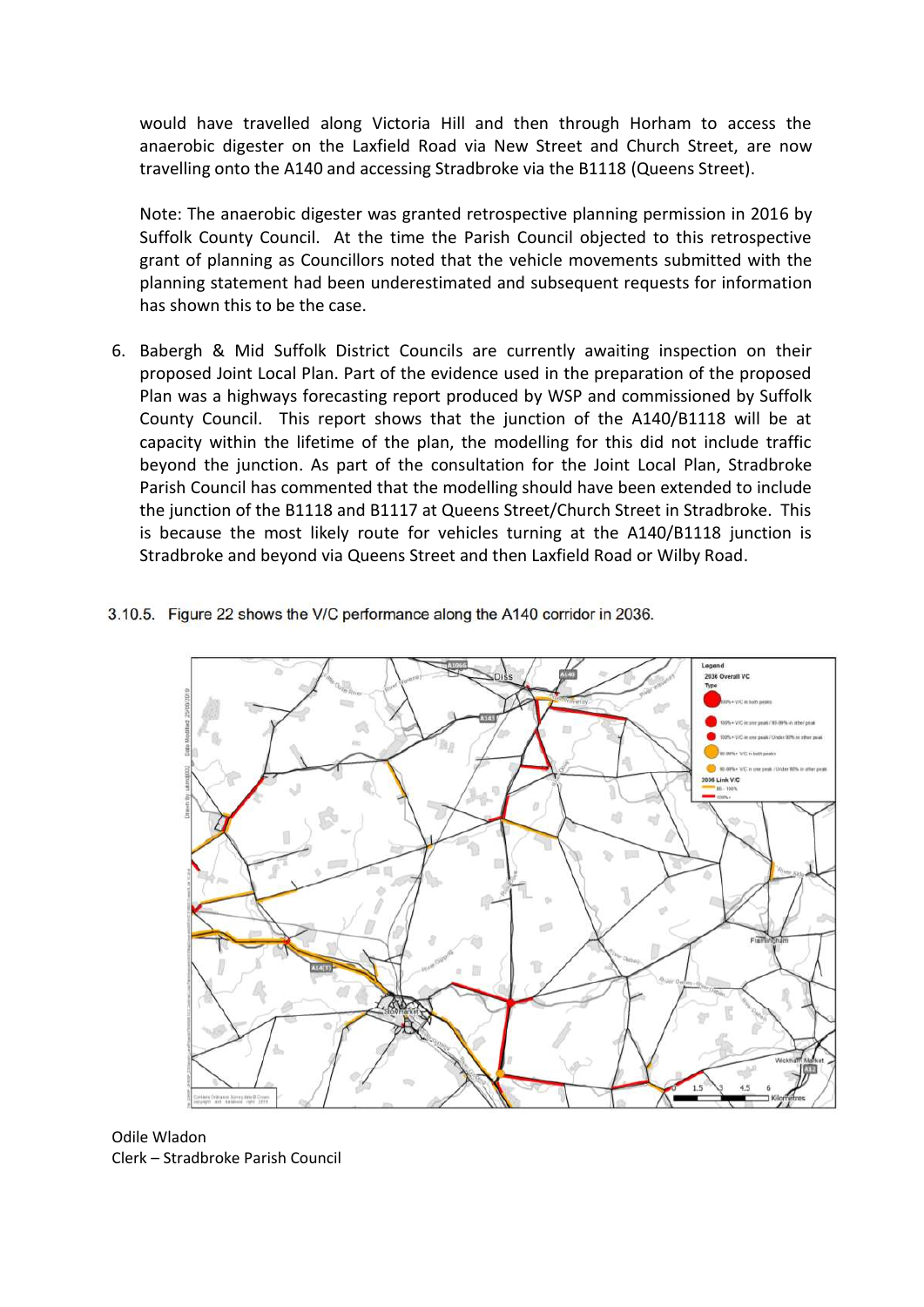would have travelled along Victoria Hill and then through Horham to access the anaerobic digester on the Laxfield Road via New Street and Church Street, are now travelling onto the A140 and accessing Stradbroke via the B1118 (Queens Street).

Note: The anaerobic digester was granted retrospective planning permission in 2016 by Suffolk County Council. At the time the Parish Council objected to this retrospective grant of planning as Councillors noted that the vehicle movements submitted with the planning statement had been underestimated and subsequent requests for information has shown this to be the case.

- 6. Babergh & Mid Suffolk District Councils are currently awaiting inspection on their proposed Joint Local Plan. Part of the evidence used in the preparation of the proposed Plan was a highways forecasting report produced by WSP and commissioned by Suffolk County Council. This report shows that the junction of the A140/B1118 will be at capacity within the lifetime of the plan, the modelling for this did not include traffic beyond the junction. As part of the consultation for the Joint Local Plan, Stradbroke Parish Council has commented that the modelling should have been extended to include the junction of the B1118 and B1117 at Queens Street/Church Street in Stradbroke. This is because the most likely route for vehicles turning at the A140/B1118 junction is Stradbroke and beyond via Queens Street and then Laxfield Road or Wilby Road.
- 3.10.5. Figure 22 shows the V/C performance along the A140 corridor in 2036.



Odile Wladon Clerk – Stradbroke Parish Council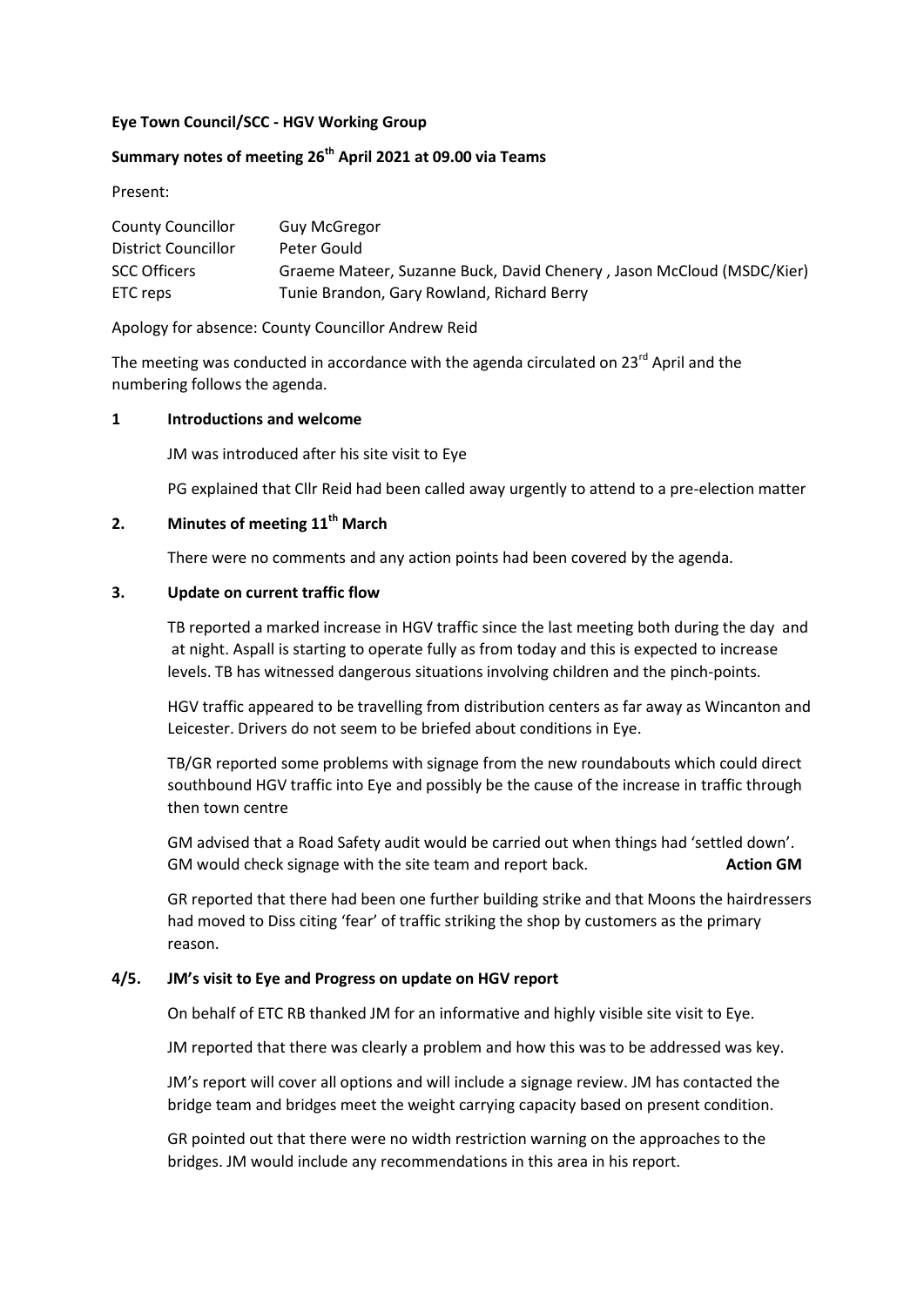### **Eye Town Council/SCC - HGV Working Group**

# **Summary notes of meeting 26th April 2021 at 09.00 via Teams**

Present:

| <b>County Councillor</b> | <b>Guy McGregor</b>                                                   |
|--------------------------|-----------------------------------------------------------------------|
| District Councillor      | Peter Gould                                                           |
| <b>SCC Officers</b>      | Graeme Mateer, Suzanne Buck, David Chenery, Jason McCloud (MSDC/Kier) |
| ETC reps                 | Tunie Brandon, Gary Rowland, Richard Berry                            |

Apology for absence: County Councillor Andrew Reid

The meeting was conducted in accordance with the agenda circulated on  $23^{rd}$  April and the numbering follows the agenda.

#### **1 Introductions and welcome**

JM was introduced after his site visit to Eye

PG explained that Cllr Reid had been called away urgently to attend to a pre-election matter

### **2. Minutes of meeting 11th March**

There were no comments and any action points had been covered by the agenda.

#### **3. Update on current traffic flow**

TB reported a marked increase in HGV traffic since the last meeting both during the day and at night. Aspall is starting to operate fully as from today and this is expected to increase levels. TB has witnessed dangerous situations involving children and the pinch-points.

HGV traffic appeared to be travelling from distribution centers as far away as Wincanton and Leicester. Drivers do not seem to be briefed about conditions in Eye.

TB/GR reported some problems with signage from the new roundabouts which could direct southbound HGV traffic into Eye and possibly be the cause of the increase in traffic through then town centre

GM advised that a Road Safety audit would be carried out when things had 'settled down'. GM would check signage with the site team and report back. **Action GM** 

GR reported that there had been one further building strike and that Moons the hairdressers had moved to Diss citing 'fear' of traffic striking the shop by customers as the primary reason.

### **4/5. JM's visit to Eye and Progress on update on HGV report**

On behalf of ETC RB thanked JM for an informative and highly visible site visit to Eye.

JM reported that there was clearly a problem and how this was to be addressed was key.

JM's report will cover all options and will include a signage review. JM has contacted the bridge team and bridges meet the weight carrying capacity based on present condition.

GR pointed out that there were no width restriction warning on the approaches to the bridges. JM would include any recommendations in this area in his report.